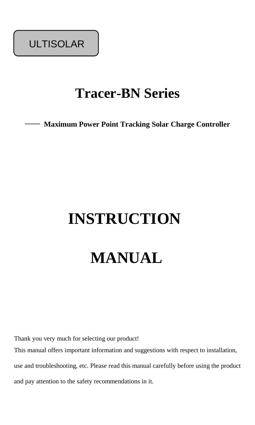ULTISOLAR

## **Tracer-BN Series**

—— **Maximum Power Point Tracking Solar Charge Controller**

# **INSTRUCTION**

# **MANUAL**

Thank you very much for selecting our product! This manual offers important information and suggestions with respect to installation, use and troubleshooting, etc. Please read this manual carefully before using the product and pay attention to the safety recommendations in it.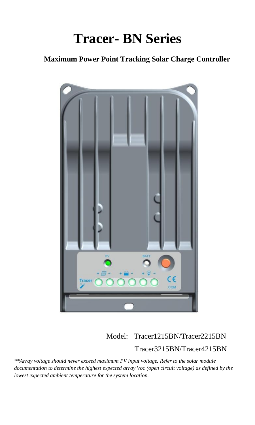## **Tracer- BN Series**

## —— **Maximum Power Point Tracking Solar Charge Controller**



## Model: Tracer1215BN/Tracer2215BN Tracer3215BN/Tracer4215BN

*\*\*Array voltage should never exceed maximum PV input voltage. Refer to the solar module documentation to determine the highest expected array Voc (open circuit voltage) as defined by the lowest expected ambient temperature for the system location.*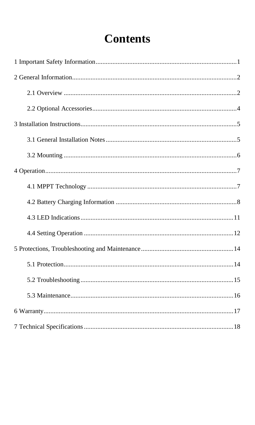## **Contents**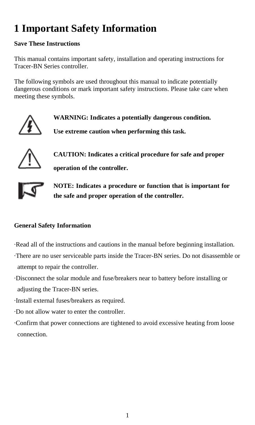## **1 Important Safety Information**

## **Save These Instructions**

This manual contains important safety, installation and operating instructions for Tracer-BN Series controller.

The following symbols are used throughout this manual to indicate potentially dangerous conditions or mark important safety instructions. Please take care when meeting these symbols.



**WARNING: Indicates a potentially dangerous condition. Use extreme caution when performing this task.**



**CAUTION: Indicates a critical procedure for safe and proper operation of the controller.**



**NOTE: Indicates a procedure or function that is important for the safe and proper operation of the controller.**

## **General Safety Information**

Read all of the instructions and cautions in the manual before beginning installation. There are no user serviceable parts inside the Tracer-BN series. Do not disassemble or attempt to repair the controller.

Disconnect the solar module and fuse/breakers near to battery before installing or adjusting the Tracer-BN series.

Install external fuses/breakers as required.

Do not allow water to enter the controller.

Confirm that power connections are tightened to avoid excessive heating from loose connection.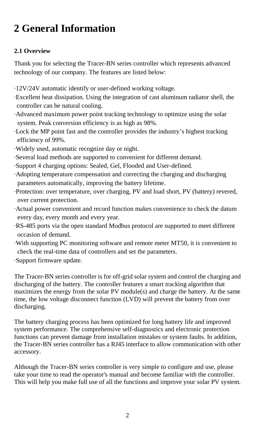## **2 General Information**

## **2.1 Overview**

Thank you for selecting the Tracer-BN series controller which represents advanced technology of our company. The features are listed below:

·12V/24V automatic identify or user-defined working voltage.

Excellent heat dissipation. Using the integration of cast aluminum radiator shell, the controller can be natural cooling.

Advanced maximum power point tracking technology to optimize using the solar system. Peak conversion efficiency is as high as 98%.

Lock the MP point fast and the controller provides the industry's highest tracking efficiency of 99%.

Widely used, automatic recognize day or night.

Several load methods are supported to convenient for different demand.

Support 4 charging options: Sealed, Gel, Flooded and User-defined.

Adopting temperature compensation and correcting the charging and discharging parameters automatically, improving the battery lifetime.

Protection: over temperature, over charging, PV and load short, PV (battery) revered, over current protection.

Actual power convenient and record function makes convenience to check the datum every day, every month and every year.

RS-485 ports via the open standard Modbus protocol are supported to meet different occasion of demand.

With supporting PC monitoring software and remote meter MT50, it is convenient to check the real-time data of controllers and set the parameters.

Support firmware update.

The Tracer-BN series controller is for off-grid solar system and control the charging and discharging of the battery. The controller features a smart tracking algorithm that maximizes the energy from the solar PV module(s) and charge the battery. At the same time, the low voltage disconnect function (LVD) will prevent the battery from over discharging.

The battery charging process has been optimized for long battery life and improved system performance. The comprehensive self-diagnostics and electronic protection functions can prevent damage from installation mistakes or system faults. In addition, the Tracer-BN series controller has a RJ45 interface to allow communication with other accessory.

Although the Tracer-BN series controller is very simple to configure and use, please take your time to read the operator's manual and become familiar with the controller. This will help you make full use of all the functions and improve your solar PV system.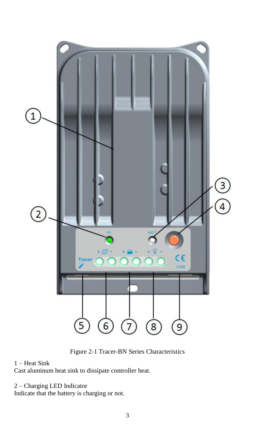

Figure 2-1 Tracer-BN Series Characteristics

## 1 – Heat Sink

Cast aluminum heat sink to dissipate controller heat.

## 2 – Charging LED Indicator

Indicate that the battery is charging or not.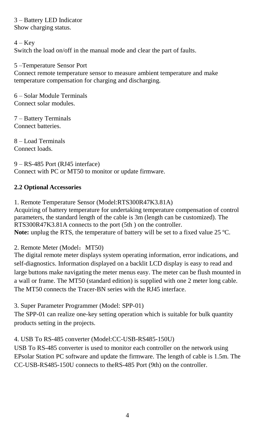3 – Battery LED Indicator Show charging status.

## $4 - Key$

Switch the load on/off in the manual mode and clear the part of faults.

5 –Temperature Sensor Port

Connect remote temperature sensor to measure ambient temperature and make temperature compensation for charging and discharging.

6 – Solar Module Terminals Connect solar modules.

7 – Battery Terminals Connect batteries.

8 – Load Terminals Connect loads.

9 – RS-485 Port (RJ45 interface) Connect with PC or MT50 to monitor or update firmware.

## **2.2 Optional Accessories**

1. Remote Temperature Sensor (Model:RTS300R47K3.81A)

Acquiring of battery temperature for undertaking temperature compensation of control parameters, the standard length of the cable is 3m (length can be customized). The RTS300R47K3.81A connects to the port (5th ) on the controller. Note: unplug the RTS, the temperature of battery will be set to a fixed value 25 °C.

## 2. Remote Meter (Model: MT50)

The digital remote meter displays system operating information, error indications, and self-diagnostics. Information displayed on a backlit LCD display is easy to read and large buttons make navigating the meter menus easy. The meter can be flush mounted in a wall or frame. The MT50 (standard edition) is supplied with one 2 meter long cable. The MT50 connects the Tracer-BN series with the RJ45 interface.

3. Super Parameter Programmer (Model: SPP-01)

The SPP-01 can realize one-key setting operation which is suitable for bulk quantity products setting in the projects.

## 4. USB To RS-485 converter (Model:CC-USB-RS485-150U)

USB To RS-485 converter is used to monitor each controller on the network using EPsolar Station PC software and update the firmware. The length of cable is 1.5m. The CC-USB-RS485-150U connects to theRS-485 Port (9th) on the controller.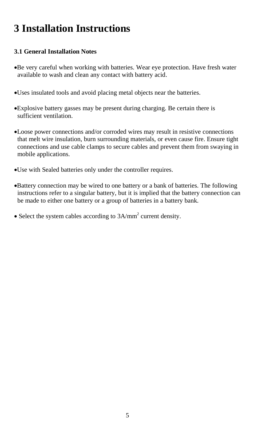## **3 Installation Instructions**

## **3.1 General Installation Notes**

- Be very careful when working with batteries. Wear eye protection. Have fresh water available to wash and clean any contact with battery acid.
- Uses insulated tools and avoid placing metal objects near the batteries.
- Explosive battery gasses may be present during charging. Be certain there is sufficient ventilation.
- Loose power connections and/or corroded wires may result in resistive connections that melt wire insulation, burn surrounding materials, or even cause fire. Ensure tight connections and use cable clamps to secure cables and prevent them from swaying in mobile applications.
- Use with Sealed batteries only under the controller requires.
- Battery connection may be wired to one battery or a bank of batteries. The following instructions refer to a singular battery, but it is implied that the battery connection can be made to either one battery or a group of batteries in a battery bank.
- Select the system cables according to 3A/mm<sup>2</sup> current density.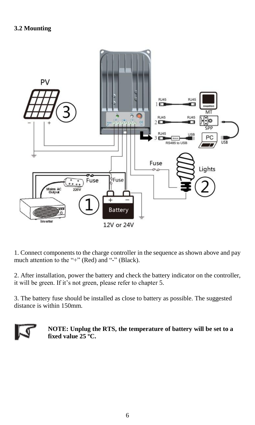

1. Connect components to the charge controller in the sequence as shown above and pay much attention to the "+" (Red) and "-" (Black).

2. After installation, power the battery and check the battery indicator on the controller, it will be green. If it's not green, please refer to chapter 5.

3. The battery fuse should be installed as close to battery as possible. The suggested distance is within 150mm.



**NOTE: Unplug the RTS, the temperature of battery will be set to a fixed value 25 ºC.**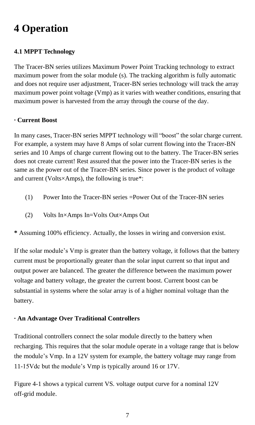## **4 Operation**

## **4.1 MPPT Technology**

The Tracer-BN series utilizes Maximum Power Point Tracking technology to extract maximum power from the solar module (s). The tracking algorithm is fully automatic and does not require user adjustment, Tracer-BN series technology will track the array maximum power point voltage (Vmp) as it varies with weather conditions, ensuring that maximum power is harvested from the array through the course of the day.

## **· Current Boost**

In many cases, Tracer-BN series MPPT technology will "boost" the solar charge current. For example, a system may have 8 Amps of solar current flowing into the Tracer-BN series and 10 Amps of charge current flowing out to the battery. The Tracer-BN series does not create current! Rest assured that the power into the Tracer-BN series is the same as the power out of the Tracer-BN series. Since power is the product of voltage and current (Volts×Amps), the following is true\*:

- (1) Power Into the Tracer-BN series =Power Out of the Tracer-BN series
- (2) Volts In×Amps In=Volts Out×Amps Out

**\*** Assuming 100% efficiency. Actually, the losses in wiring and conversion exist.

If the solar module's Vmp is greater than the battery voltage, it follows that the battery current must be proportionally greater than the solar input current so that input and output power are balanced. The greater the difference between the maximum power voltage and battery voltage, the greater the current boost. Current boost can be substantial in systems where the solar array is of a higher nominal voltage than the battery.

## **· An Advantage Over Traditional Controllers**

Traditional controllers connect the solar module directly to the battery when recharging. This requires that the solar module operate in a voltage range that is below the module's Vmp. In a 12V system for example, the battery voltage may range from 11-15Vdc but the module's Vmp is typically around 16 or 17V.

Figure 4-1 shows a typical current VS. voltage output curve for a nominal 12V off-grid module.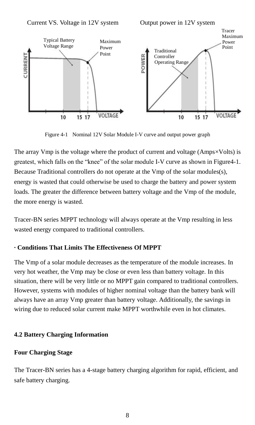



Figure 4-1 Nominal 12V Solar Module I-V curve and output power graph

The array Vmp is the voltage where the product of current and voltage (Amps  $\times$ Volts) is greatest, which falls on the "knee" of the solar module I-V curve as shown in Figure4-1. Because Traditional controllers do not operate at the Vmp of the solar modules(s), energy is wasted that could otherwise be used to charge the battery and power system loads. The greater the difference between battery voltage and the Vmp of the module, the more energy is wasted.

Tracer-BN series MPPT technology will always operate at the Vmp resulting in less wasted energy compared to traditional controllers.

## **· Conditions That Limits The Effectiveness Of MPPT**

The Vmp of a solar module decreases as the temperature of the module increases. In very hot weather, the Vmp may be close or even less than battery voltage. In this situation, there will be very little or no MPPT gain compared to traditional controllers. However, systems with modules of higher nominal voltage than the battery bank will always have an array Vmp greater than battery voltage. Additionally, the savings in wiring due to reduced solar current make MPPT worthwhile even in hot climates.

## **4.2 Battery Charging Information**

## **Four Charging Stage**

The Tracer-BN series has a 4-stage battery charging algorithm for rapid, efficient, and safe battery charging.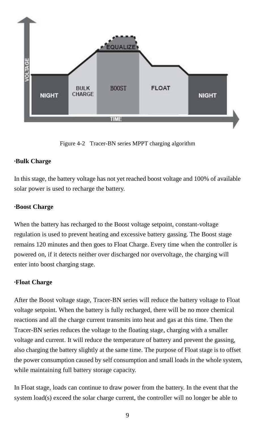

Figure 4-2 Tracer-BN series MPPT charging algorithm

## **Bulk Charge**

In this stage, the battery voltage has not yet reached boost voltage and 100% of available solar power is used to recharge the battery.

## **·Boost Charge**

When the battery has recharged to the Boost voltage setpoint, constant-voltage regulation is used to prevent heating and excessive battery gassing. The Boost stage remains 120 minutes and then goes to Float Charge. Every time when the controller is powered on, if it detects neither over discharged nor overvoltage, the charging will enter into boost charging stage.

## **Float Charge**

After the Boost voltage stage, Tracer-BN series will reduce the battery voltage to Float voltage setpoint. When the battery is fully recharged, there will be no more chemical reactions and all the charge current transmits into heat and gas at this time. Then the Tracer-BN series reduces the voltage to the floating stage, charging with a smaller voltage and current. It will reduce the temperature of battery and prevent the gassing, also charging the battery slightly at the same time. The purpose of Float stage is to offset the power consumption caused by self consumption and small loads in the whole system, while maintaining full battery storage capacity.

In Float stage, loads can continue to draw power from the battery. In the event that the system load(s) exceed the solar charge current, the controller will no longer be able to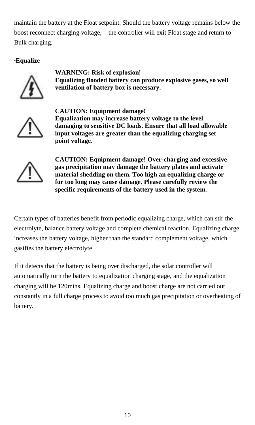maintain the battery at the Float setpoint. Should the battery voltage remains below the boost reconnect charging voltage, the controller will exit Float stage and return to Bulk charging.

## **·Equalize**



**WARNING: Risk of explosion! Equalizing flooded battery can produce explosive gases, so well ventilation of battery box is necessary.**



**CAUTION: Equipment damage! Equalization may increase battery voltage to the level damaging to sensitive DC loads. Ensure that all load allowable input voltages are greater than the equalizing charging set point voltage.** 



**CAUTION: Equipment damage! Over-charging and excessive gas precipitation may damage the battery plates and activate material shedding on them. Too high an equalizing charge or for too long may cause damage. Please carefully review the specific requirements of the battery used in the system.**

Certain types of batteries benefit from periodic equalizing charge, which can stir the electrolyte, balance battery voltage and complete chemical reaction. Equalizing charge increases the battery voltage, higher than the standard complement voltage, which gasifies the battery electrolyte.

If it detects that the battery is being over discharged, the solar controller will automatically turn the battery to equalization charging stage, and the equalization charging will be 120mins. Equalizing charge and boost charge are not carried out constantly in a full charge process to avoid too much gas precipitation or overheating of battery.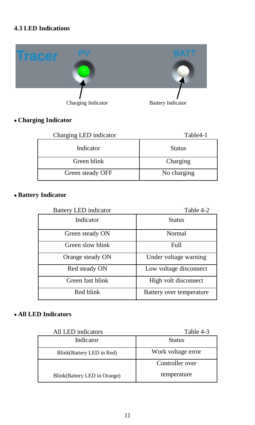## **4.3 LED Indications**



## **Charging Indicator**

| Charging LED indicator | Table4-1      |
|------------------------|---------------|
| Indicator              | <b>Status</b> |
| Green blink            | Charging      |
| Green steady OFF       | No charging   |

## **Battery Indicator**

| <b>Battery LED</b> indicator | Table 4-2                |
|------------------------------|--------------------------|
| Indicator                    | <b>Status</b>            |
| Green steady ON              | Normal                   |
| Green slow blink             | Full                     |
| Orange steady ON             | Under voltage warning    |
| Red steady ON                | Low voltage disconnect   |
| Green fast blink             | High volt disconnect     |
| Red blink                    | Battery over temperature |

## **All LED Indicators**

| All LED indicators           | Table 4-3          |
|------------------------------|--------------------|
| Indicator                    | Status             |
| Blink(Battery LED in Red)    | Work voltage error |
|                              | Controller over    |
| Blink(Battery LED in Orange) | temperature        |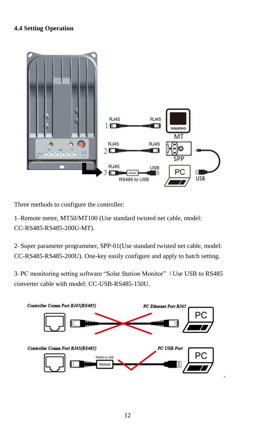## **4.4 Setting Operation**



Three methods to configure the controller:

1–Remote meter, MT50/MT100 (Use standard twisted net cable, model: CC-RS485-RS485-200U-MT).

2–Super parameter programmer, SPP-01(Use standard twisted net cable, model: CC-RS485-RS485-200U). One-key easily configure and apply to batch setting.

3–PC monitoring setting software "Solar Station Monitor" (Use USB to RS485) converter cable with model: CC-USB-RS485-150U.

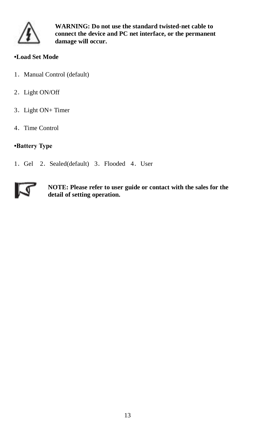

**WARNING: Do not use the standard twisted-net cable to connect the device and PC net interface, or the permanent damage will occur.**

## **•Load Set Mode**

- 1. Manual Control (default)
- 2. Light ON/Off
- 3.Light ON+ Timer
- 4.Time Control

## **•Battery Type**

1. Gel 2. Sealed(default) 3. Flooded 4. User



**NOTE: Please refer to user guide or contact with the sales for the detail of setting operation.**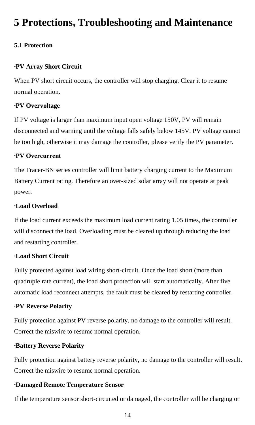## **5 Protections, Troubleshooting and Maintenance**

## **5.1 Protection**

#### **·PV Array Short Circuit**

When PV short circuit occurs, the controller will stop charging. Clear it to resume normal operation.

## **·PV Overvoltage**

If PV voltage is larger than maximum input open voltage 150V, PV will remain disconnected and warning until the voltage falls safely below 145V. PV voltage cannot be too high, otherwise it may damage the controller, please verify the PV parameter.

### **·PV Overcurrent**

The Tracer-BN series controller will limit battery charging current to the Maximum Battery Current rating. Therefore an over-sized solar array will not operate at peak power.

## **·Load Overload**

If the load current exceeds the maximum load current rating 1.05 times, the controller will disconnect the load. Overloading must be cleared up through reducing the load and restarting controller.

### **·Load Short Circuit**

Fully protected against load wiring short-circuit. Once the load short (more than quadruple rate current), the load short protection will start automatically. After five automatic load reconnect attempts, the fault must be cleared by restarting controller.

#### **·PV Reverse Polarity**

Fully protection against PV reverse polarity, no damage to the controller will result. Correct the miswire to resume normal operation.

#### **Battery Reverse Polarity**

Fully protection against battery reverse polarity, no damage to the controller will result. Correct the miswire to resume normal operation.

### **·Damaged Remote Temperature Sensor**

If the temperature sensor short-circuited or damaged, the controller will be charging or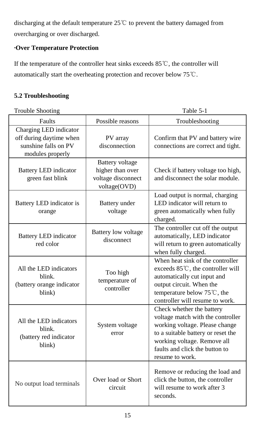discharging at the default temperature 25℃ to prevent the battery damaged from overcharging or over discharged.

## **·Over Temperature Protection**

If the temperature of the controller heat sinks exceeds 85℃, the controller will automatically start the overheating protection and recover below 75℃.

## **5.2 Troubleshooting**

| <b>Trouble Shooting</b>                                                                       | Table 5-1                                                                        |                                                                                                                                                                                                                            |
|-----------------------------------------------------------------------------------------------|----------------------------------------------------------------------------------|----------------------------------------------------------------------------------------------------------------------------------------------------------------------------------------------------------------------------|
| Faults                                                                                        | Possible reasons                                                                 | Troubleshooting                                                                                                                                                                                                            |
| Charging LED indicator<br>off during daytime when<br>sunshine falls on PV<br>modules properly | PV array<br>disconnection                                                        | Confirm that PV and battery wire<br>connections are correct and tight.                                                                                                                                                     |
| <b>Battery LED</b> indicator<br>green fast blink                                              | <b>Battery</b> voltage<br>higher than over<br>voltage disconnect<br>voltage(OVD) | Check if battery voltage too high,<br>and disconnect the solar module.                                                                                                                                                     |
| Battery LED indicator is<br>orange                                                            | Battery under<br>voltage                                                         | Load output is normal, charging<br>LED indicator will return to<br>green automatically when fully<br>charged.                                                                                                              |
| <b>Battery LED</b> indicator<br>red color                                                     | <b>Battery</b> low voltage<br>disconnect                                         | The controller cut off the output<br>automatically, LED indicator<br>will return to green automatically<br>when fully charged.                                                                                             |
| All the LED indicators<br>blink.<br>(battery orange indicator<br>blink)                       | Too high<br>temperature of<br>controller                                         | When heat sink of the controller<br>exceeds 85℃, the controller will<br>automatically cut input and<br>output circuit. When the<br>temperature below 75℃, the<br>controller will resume to work.                           |
| All the LED indicators<br>blink.<br>(battery red indicator<br>blink)                          | System voltage<br>error                                                          | Check whether the battery<br>voltage match with the controller<br>working voltage. Please change<br>to a suitable battery or reset the<br>working voltage. Remove all<br>faults and click the button to<br>resume to work. |
| No output load terminals                                                                      | Over load or Short<br>circuit                                                    | Remove or reducing the load and<br>click the button, the controller<br>will resume to work after 3<br>seconds.                                                                                                             |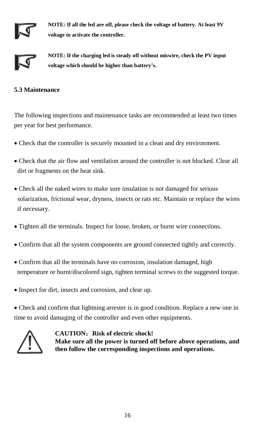

**NOTE: If all the led are off, please check the voltage of battery. At least 9V voltage to activate the controller.**



**NOTE: If the charging led is steady off without miswire, check the PV input voltage which should be higher than battery's.**

## **5.3 Maintenance**

The following inspections and maintenance tasks are recommended at least two times per year for best performance.

- Check that the controller is securely mounted in a clean and dry environment.
- Check that the air flow and ventilation around the controller is not blocked. Clear all dirt or fragments on the heat sink.
- Check all the naked wires to make sure insulation is not damaged for serious solarization, frictional wear, dryness, insects or rats etc. Maintain or replace the wires if necessary.
- Tighten all the terminals. Inspect for loose, broken, or burnt wire connections.
- Confirm that all the system components are ground connected tightly and correctly.
- Confirm that all the terminals have no corrosion, insulation damaged, high temperature or burnt/discolored sign, tighten terminal screws to the suggested torque.
- Inspect for dirt, insects and corrosion, and clear up.

 Check and confirm that lightning arrester is in good condition. Replace a new one in time to avoid damaging of the controller and even other equipments.



**CAUTION**:**Risk of electric shock! Make sure all the power is turned off before above operations, and then follow the corresponding inspections and operations.**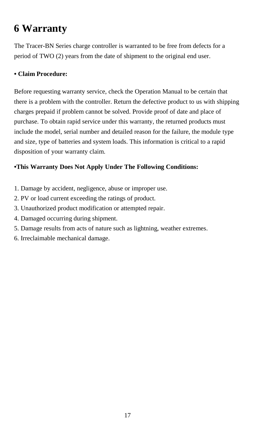## **6 Warranty**

The Tracer-BN Series charge controller is warranted to be free from defects for a period of TWO (2) years from the date of shipment to the original end user.

## **• Claim Procedure:**

Before requesting warranty service, check the Operation Manual to be certain that there is a problem with the controller. Return the defective product to us with shipping charges prepaid if problem cannot be solved. Provide proof of date and place of purchase. To obtain rapid service under this warranty, the returned products must include the model, serial number and detailed reason for the failure, the module type and size, type of batteries and system loads. This information is critical to a rapid disposition of your warranty claim.

## **•This Warranty Does Not Apply Under The Following Conditions:**

- 1. Damage by accident, negligence, abuse or improper use.
- 2. PV or load current exceeding the ratings of product.
- 3. Unauthorized product modification or attempted repair.
- 4. Damaged occurring during shipment.
- 5. Damage results from acts of nature such as lightning, weather extremes.
- 6. Irreclaimable mechanical damage.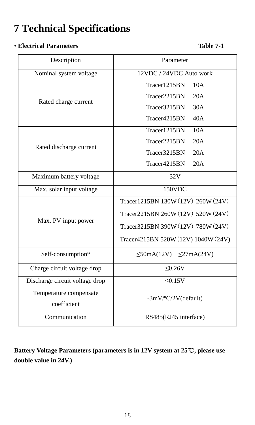## **7 Technical Specifications**

## • **Electrical Parameters Table 7-1**

 $\overline{\Gamma}$ 

| Nominal system voltage         | 12VDC / 24VDC Auto work             |
|--------------------------------|-------------------------------------|
|                                | Tracer1215BN<br>10A                 |
|                                | 20A<br>Tracer2215BN                 |
| Rated charge current           | Tracer3215BN<br>30A                 |
|                                | Tracer4215BN<br>40A                 |
|                                | 10A<br>Tracer1215BN                 |
| Rated discharge current        | Tracer2215BN<br>20A                 |
|                                | Tracer3215BN<br>20A                 |
|                                | Tracer4215BN<br>20A                 |
| Maximum battery voltage        | 32V                                 |
| Max. solar input voltage       | 150VDC                              |
|                                | Tracer1215BN 130W (12V) 260W (24V)  |
|                                | Tracer2215BN 260W (12V) 520W (24V)  |
| Max. PV input power            | Tracer3215BN 390W (12V) 780W (24V)  |
|                                | Tracer4215BN 520W (12V) 1040W (24V) |
| Self-consumption*              | $\leq$ 50mA(12V) $\leq$ 27mA(24V)   |
| Charge circuit voltage drop    | < 0.26 V                            |
| Discharge circuit voltage drop | < 0.15V                             |
| Temperature compensate         | $-3mV/C/2V$ (default)               |
| coefficient                    |                                     |
| Communication                  | RS485(RJ45 interface)               |

Description Parameter

**Battery Voltage Parameters (parameters is in 12V system at 25**℃**, please use double value in 24V.)**

Ī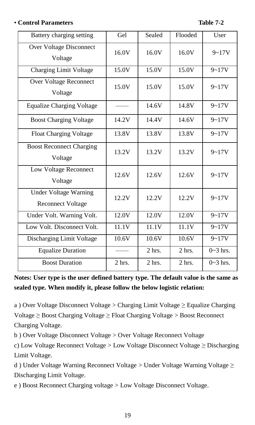## • **Control Parameters Table 7-2**

| Battery charging setting                                 | Gel      | Sealed             | Flooded  | User       |
|----------------------------------------------------------|----------|--------------------|----------|------------|
| Over Voltage Disconnect<br>Voltage                       | 16.0V    | 16.0V              | 16.0V    | $9 - 17V$  |
| <b>Charging Limit Voltage</b>                            | 15.0V    | 15.0V              | 15.0V    | $9 - 17V$  |
| Over Voltage Reconnect<br>Voltage                        | 15.0V    | 15.0V              | 15.0V    | $9 - 17V$  |
| <b>Equalize Charging Voltage</b>                         |          | 14.6V              | 14.8V    | $9 - 17V$  |
| <b>Boost Charging Voltage</b>                            | 14.2V    | 14.4V              | 14.6V    | $9 - 17V$  |
| <b>Float Charging Voltage</b>                            | 13.8V    | 13.8V              | 13.8V    | $9 - 17V$  |
| <b>Boost Reconnect Charging</b><br>Voltage               | 13.2V    | 13.2V              | 13.2V    | $9 - 17V$  |
| Low Voltage Reconnect<br>Voltage                         | 12.6V    | 12.6V              | 12.6V    | $9 - 17V$  |
| <b>Under Voltage Warning</b><br><b>Reconnect Voltage</b> | 12.2V    | 12.2V              | 12.2V    | $9 - 17V$  |
| Under Volt. Warning Volt.                                | 12.0V    | 12.0V              | 12.0V    | $9 - 17V$  |
| Low Volt. Disconnect Volt.                               | 11.1V    | $11.1\overline{V}$ | 11.1V    | $9 - 17V$  |
| Discharging Limit Voltage                                | 10.6V    | 10.6V              | 10.6V    | $9 - 17V$  |
| <b>Equalize Duration</b>                                 |          | $2$ hrs.           | $2$ hrs. | $0-3$ hrs. |
| <b>Boost Duration</b>                                    | $2$ hrs. | $2$ hrs.           | $2$ hrs. | $0~3$ hrs. |

**Notes: User type is the user defined battery type. The default value is the same as sealed type. When modify it, please follow the below logistic relation:**

a ) Over Voltage Disconnect Voltage > Charging Limit Voltage ≥ Equalize Charging Voltage ≥ Boost Charging Voltage ≥ Float Charging Voltage > Boost Reconnect Charging Voltage.

b ) Over Voltage Disconnect Voltage > Over Voltage Reconnect Voltage

c) Low Voltage Reconnect Voltage > Low Voltage Disconnect Voltage ≥ Discharging Limit Voltage.

d ) Under Voltage Warning Reconnect Voltage > Under Voltage Warning Voltage ≥ Discharging Limit Voltage.

e ) Boost Reconnect Charging voltage > Low Voltage Disconnect Voltage.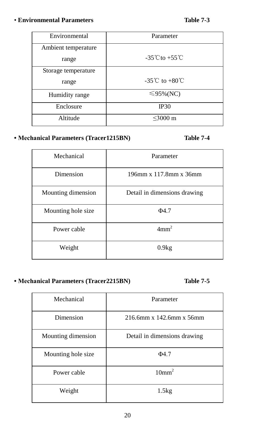## • **Environmental Parameters Table 7-3**

| Environmental       | Parameter                          |
|---------------------|------------------------------------|
| Ambient temperature |                                    |
| range               | $-35^{\circ}$ Cto $+55^{\circ}$ C  |
| Storage temperature |                                    |
| range               | $-35^{\circ}$ C to $+80^{\circ}$ C |
| Humidity range      | $\leq$ 95%(NC)                     |
| Enclosure           | <b>IP30</b>                        |
| Altitude            | $<$ 3000 m                         |

## **• Mechanical Parameters (Tracer1215BN) Table 7-4**

| Mechanical         | Parameter                    |
|--------------------|------------------------------|
| Dimension          | 196mm x 117.8mm x 36mm       |
| Mounting dimension | Detail in dimensions drawing |
| Mounting hole size | $\Phi$ 4.7                   |
| Power cable        | 4mm <sup>2</sup>             |
| Weight             | 0.9kg                        |

## **• Mechanical Parameters (Tracer2215BN) Table 7-5**

| Mechanical         | Parameter                    |
|--------------------|------------------------------|
| Dimension          | 216.6mm x 142.6mm x 56mm     |
| Mounting dimension | Detail in dimensions drawing |
| Mounting hole size | $\Phi$ 47                    |
| Power cable        | 10mm <sup>2</sup>            |
| Weight             | 1.5kg                        |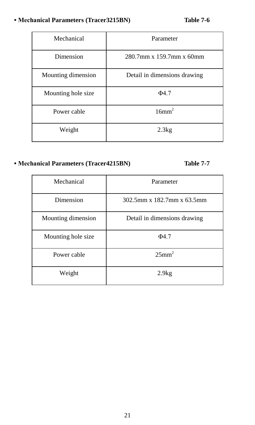## **• Mechanical Parameters (Tracer3215BN) Table 7-6**

| Mechanical         | Parameter                    |
|--------------------|------------------------------|
| Dimension          | 280.7mm x 159.7mm x 60mm     |
| Mounting dimension | Detail in dimensions drawing |
| Mounting hole size | $\Phi$ 47                    |
| Power cable        | 16mm <sup>2</sup>            |
| Weight             | 2.3kg                        |

## **• Mechanical Parameters (Tracer4215BN) Table 7-7**

| Mechanical         | Parameter                    |
|--------------------|------------------------------|
| Dimension          | 302.5mm x 182.7mm x 63.5mm   |
| Mounting dimension | Detail in dimensions drawing |
| Mounting hole size | $\Phi$ 47                    |
| Power cable        | 25mm <sup>2</sup>            |
| Weight             | 2.9kg                        |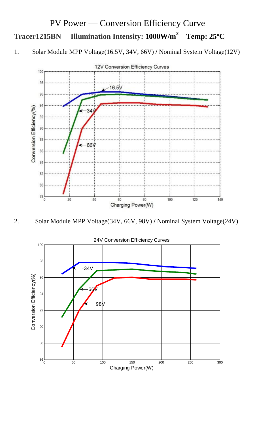## PV Power — Conversion Efficiency Curve **Tracer1215BN Illumination Intensity: 1000W/m<sup>2</sup>Temp: 25ºC**

1. Solar Module MPP Voltage(16.5V, 34V, 66V) **/** Nominal System Voltage(12V)





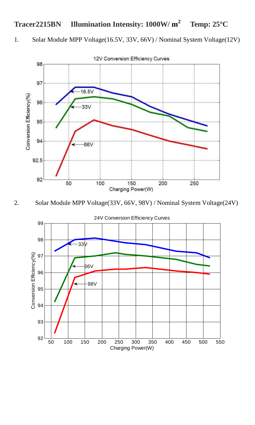#### **Tracer2215BN Illumination Intensity: 1000W/ m 2 Temp: 25ºC**

1. Solar Module MPP Voltage(16.5V, 33V, 66V) / Nominal System Voltage(12V)



2. Solar Module MPP Voltage(33V, 66V, 98V) / Nominal System Voltage(24V)



24V Conversion Efficiency Curves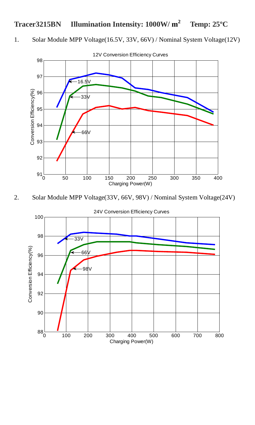#### **Tracer3215BN Illumination Intensity: 1000W/ m 2 Temp: 25ºC**

1. Solar Module MPP Voltage(16.5V, 33V, 66V) / Nominal System Voltage(12V)



2. Solar Module MPP Voltage(33V, 66V, 98V) / Nominal System Voltage(24V)



24V Conversion Efficiency Curves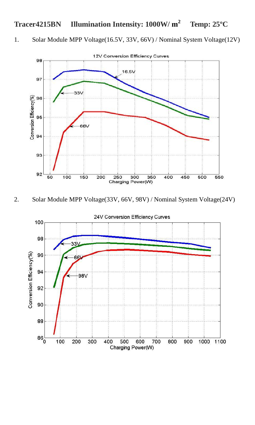#### **Tracer4215BN Illumination Intensity: 1000W/ m 2 Temp: 25ºC**

1. Solar Module MPP Voltage(16.5V, 33V, 66V) / Nominal System Voltage(12V)



2. Solar Module MPP Voltage(33V, 66V, 98V) / Nominal System Voltage(24V)

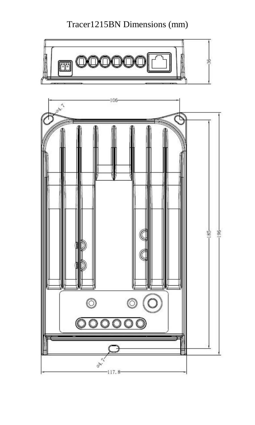Tracer1215BN Dimensions (mm)

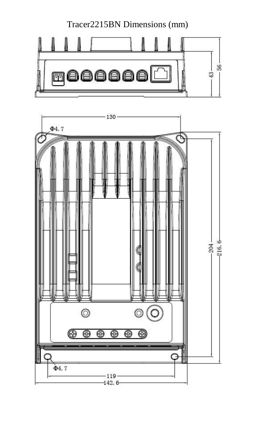Tracer2215BN Dimensions (mm)



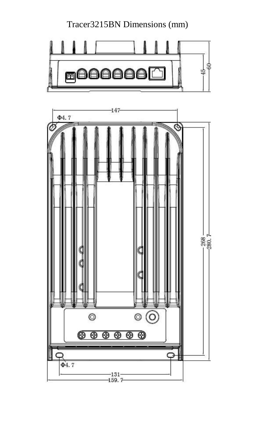Tracer3215BN Dimensions (mm)



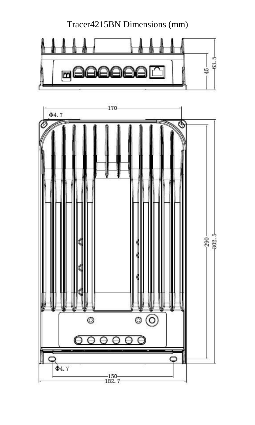Tracer4215BN Dimensions (mm)